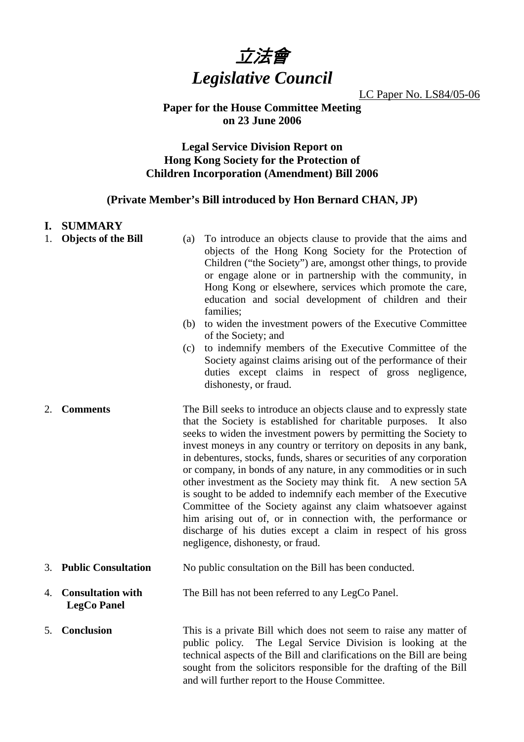

LC Paper No. LS84/05-06

### **Paper for the House Committee Meeting on 23 June 2006**

# **Legal Service Division Report on Hong Kong Society for the Protection of Children Incorporation (Amendment) Bill 2006**

## **(Private Member's Bill introduced by Hon Bernard CHAN, JP)**

#### **I. SUMMARY**

- 
- 1. **Objects of the Bill** (a) To introduce an objects clause to provide that the aims and objects of the Hong Kong Society for the Protection of Children ("the Society") are, amongst other things, to provide or engage alone or in partnership with the community, in Hong Kong or elsewhere, services which promote the care, education and social development of children and their families;
	- (b) to widen the investment powers of the Executive Committee of the Society; and
	- (c) to indemnify members of the Executive Committee of the Society against claims arising out of the performance of their duties except claims in respect of gross negligence, dishonesty, or fraud.
- 2. **Comments** The Bill seeks to introduce an objects clause and to expressly state that the Society is established for charitable purposes. It also seeks to widen the investment powers by permitting the Society to invest moneys in any country or territory on deposits in any bank, in debentures, stocks, funds, shares or securities of any corporation or company, in bonds of any nature, in any commodities or in such other investment as the Society may think fit. A new section 5A is sought to be added to indemnify each member of the Executive Committee of the Society against any claim whatsoever against him arising out of, or in connection with, the performance or discharge of his duties except a claim in respect of his gross negligence, dishonesty, or fraud.
- 3. **Public Consultation** No public consultation on the Bill has been conducted.
- 4. **Consultation with LegCo Panel**  The Bill has not been referred to any LegCo Panel.
- 5. **Conclusion** This is a private Bill which does not seem to raise any matter of public policy. The Legal Service Division is looking at the technical aspects of the Bill and clarifications on the Bill are being sought from the solicitors responsible for the drafting of the Bill and will further report to the House Committee.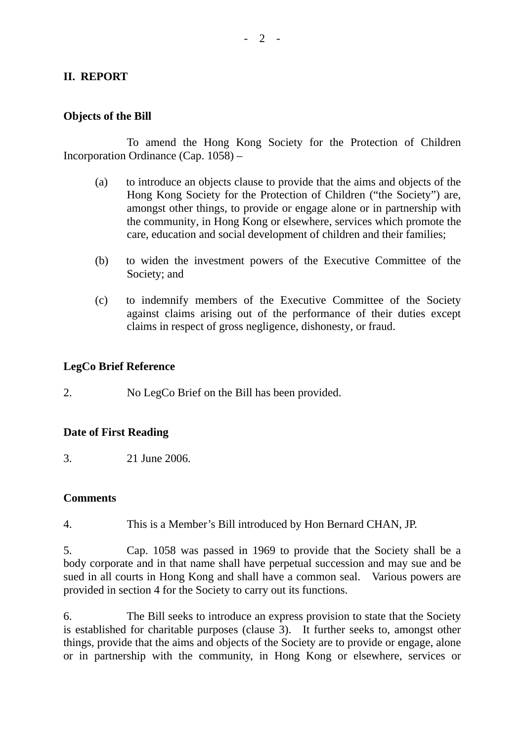# **II. REPORT**

### **Objects of the Bill**

 To amend the Hong Kong Society for the Protection of Children Incorporation Ordinance (Cap. 1058) –

- (a) to introduce an objects clause to provide that the aims and objects of the Hong Kong Society for the Protection of Children ("the Society") are, amongst other things, to provide or engage alone or in partnership with the community, in Hong Kong or elsewhere, services which promote the care, education and social development of children and their families;
- (b) to widen the investment powers of the Executive Committee of the Society; and
- (c) to indemnify members of the Executive Committee of the Society against claims arising out of the performance of their duties except claims in respect of gross negligence, dishonesty, or fraud.

### **LegCo Brief Reference**

2. No LegCo Brief on the Bill has been provided.

#### **Date of First Reading**

3. 21 June 2006.

#### **Comments**

4. This is a Member's Bill introduced by Hon Bernard CHAN, JP.

5. Cap. 1058 was passed in 1969 to provide that the Society shall be a body corporate and in that name shall have perpetual succession and may sue and be sued in all courts in Hong Kong and shall have a common seal. Various powers are provided in section 4 for the Society to carry out its functions.

6. The Bill seeks to introduce an express provision to state that the Society is established for charitable purposes (clause 3). It further seeks to, amongst other things, provide that the aims and objects of the Society are to provide or engage, alone or in partnership with the community, in Hong Kong or elsewhere, services or